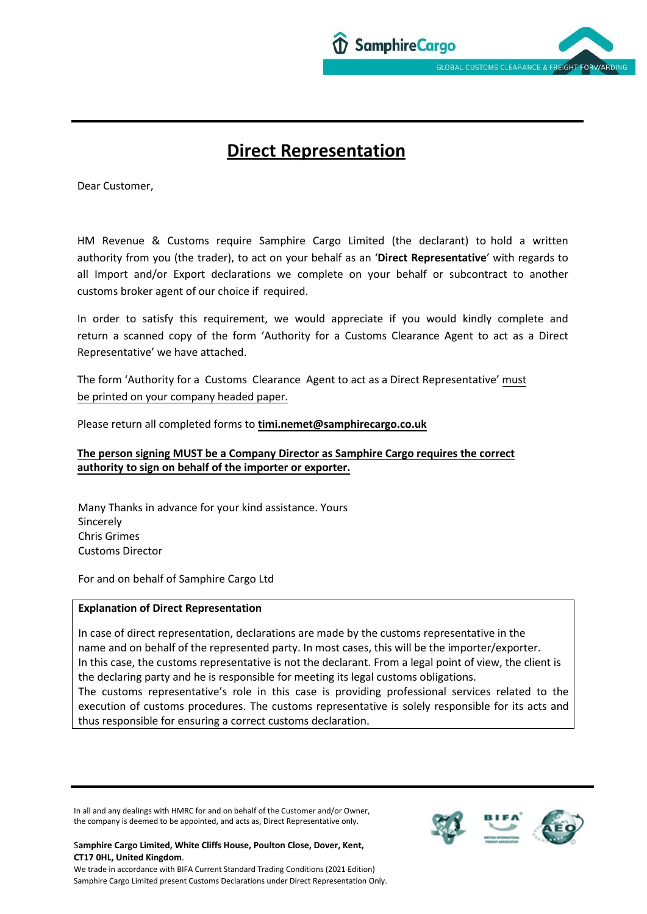

# **Direct Representation**

Dear Customer,

HM Revenue & Customs require Samphire Cargo Limited (the declarant) to hold a written authority from you (the trader), to act on your behalf as an '**Direct Representative**' with regards to all Import and/or Export declarations we complete on your behalf or subcontract to another customs broker agent of our choice if required.

In order to satisfy this requirement, we would appreciate if you would kindly complete and return a scanned copy of the form 'Authority for a Customs Clearance Agent to act as a Direct Representative' we have attached.

The form 'Authority for a Customs Clearance Agent to act as a Direct Representative' must be printed on your company headed paper.

Please return all completed forms to **[timi.nemet@samphirecargo.c](mailto:brexit@samphirecargo.co.uk)o.uk** 

# **The person signing MUST be a Company Director as Samphire Cargo requires the correct authority to sign on behalf of the importer or exporter.**

Many Thanks in advance for your kind assistance. Yours Sincerely Chris Grimes Customs Director

For and on behalf of Samphire Cargo Ltd

## **Explanation of Direct Representation**

In case of direct representation, declarations are made by the customs representative in the name and on behalf of the represented party. In most cases, this will be the importer/exporter. In this case, the customs representative is not the declarant. From a legal point of view, the client is the declaring party and he is responsible for meeting its legal customs obligations. The customs representative's role in this case is providing professional services related to the execution of customs procedures. The customs representative is solely responsible for its acts and thus responsible for ensuring a correct customs declaration.

In all and any dealings with HMRC for and on behalf of the Customer and/or Owner, the company is deemed to be appointed, and acts as, Direct Representative only.

#### S**amphire Cargo Limited, White Cliffs House, Poulton Close, Dover, Kent, CT17 0HL, United Kingdom**.



We trade in accordance with BIFA Current Standard Trading Conditions (2021 Edition) Samphire Cargo Limited present Customs Declarations under Direct Representation Only.